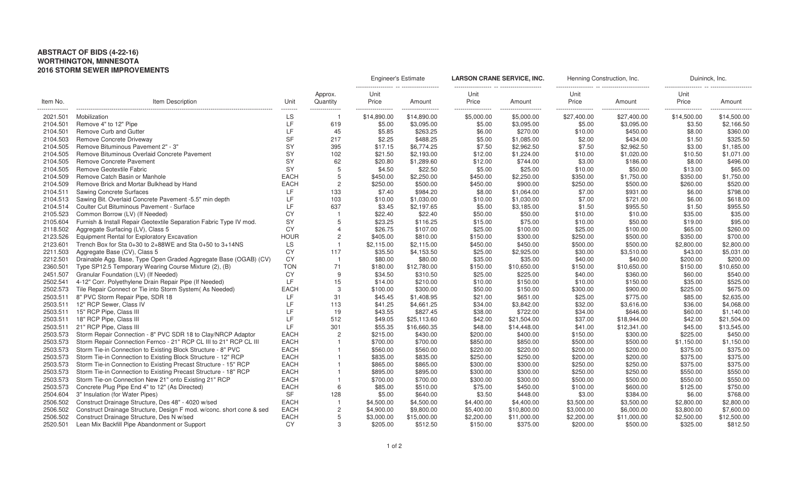## **ABSTRACT OF BIDS (4-22-16) WORTHINGTON, MINNESOTA 2016 STORM SEWER IMPROVEMENTS**

|                             | Item Description                                                               | Unit            | Approx.<br>Quantity   | Engineer's Estimate |                  | LARSON CRANE SERVICE, INC. |                 | Henning Construction, Inc. |             | Duininck, Inc.                    |             |
|-----------------------------|--------------------------------------------------------------------------------|-----------------|-----------------------|---------------------|------------------|----------------------------|-----------------|----------------------------|-------------|-----------------------------------|-------------|
| Item No.                    |                                                                                |                 |                       | Unit<br>Price       | Amount           | Unit<br>Price              | Amount          | Unit<br>Price              | Amount      | Unit<br>Price                     | Amount      |
| ---------------<br>2021.501 | Mobilization                                                                   | ---------<br>LS | --------------        | .<br>\$14,890.00    | .<br>\$14,890.00 | <br>\$5,000.00             | .<br>\$5,000.00 | <br>\$27,400.00            | \$27,400.00 | ------------------<br>\$14,500.00 | \$14,500.00 |
| 2104.501                    | Remove 4" to 12" Pipe                                                          | LF              | 619                   | \$5.00              | \$3,095.00       | \$5.00                     | \$3,095.00      | \$5.00                     | \$3,095.00  | \$3.50                            | \$2,166.50  |
| 2104.501                    | Remove Curb and Gutter                                                         | LF.             | 45                    | \$5.85              | \$263.25         | \$6.00                     | \$270.00        | \$10.00                    | \$450.00    | \$8.00                            | \$360.00    |
| 2104.503                    | Remove Concrete Driveway                                                       | <b>SF</b>       | 217                   | \$2.25              | \$488.25         | \$5.00                     | \$1,085.00      | \$2.00                     | \$434.00    | \$1.50                            | \$325.50    |
| 2104.505                    | Remove Bituminous Pavement 2" - 3"                                             | SY              | 395                   | \$17.15             | \$6,774.25       | \$7.50                     | \$2,962.50      | \$7.50                     | \$2,962.50  | \$3.00                            | \$1,185.00  |
| 2104.505                    | Remove Bituminous Overlaid Concrete Pavement                                   | SY              | 102                   | \$21.50             | \$2,193.00       | \$12.00                    | \$1,224.00      | \$10.00                    | \$1,020.00  | \$10.50                           | \$1,071.00  |
| 2104.505                    | Remove Concrete Pavement                                                       | <b>SY</b>       | 62                    | \$20.80             | \$1,289.60       | \$12.00                    | \$744.00        | \$3.00                     | \$186.00    | \$8.00                            | \$496.00    |
| 2104.505                    | Remove Geotextile Fabric                                                       | <b>SY</b>       | 5                     | \$4.50              | \$22.50          | \$5.00                     | \$25.00         | \$10.00                    | \$50.00     | \$13.00                           | \$65.00     |
| 2104.509                    | Remove Catch Basin or Manhole                                                  | <b>EACH</b>     | 5                     | \$450.00            | \$2,250.00       | \$450.00                   | \$2,250.00      | \$350.00                   | \$1,750.00  | \$350.00                          | \$1,750.00  |
| 2104.509                    | Remove Brick and Mortar Bulkhead by Hand                                       | <b>EACH</b>     | $\overline{c}$        | \$250.00            | \$500.00         | \$450.00                   | \$900.00        | \$250.00                   | \$500.00    | \$260.00                          | \$520.00    |
| 2104.511                    | <b>Sawing Concrete Surfaces</b>                                                | LF.             | 133                   | \$7.40              | \$984.20         | \$8.00                     | \$1,064.00      | \$7.00                     | \$931.00    | \$6.00                            | \$798.00    |
| 2104.513                    | Sawing Bit. Overlaid Concrete Pavement -5.5" min depth                         | LF              | 103                   | \$10.00             | \$1,030.00       | \$10.00                    | \$1,030.00      | \$7.00                     | \$721.00    | \$6.00                            | \$618.00    |
| 2104.514                    | Coulter Cut Bituminous Pavement - Surface                                      | LF              | 637                   | \$3.45              | \$2,197.65       | \$5.00                     | \$3,185.00      | \$1.50                     | \$955.50    | \$1.50                            | \$955.50    |
| 2105.523                    | Common Borrow (LV) (If Needed)                                                 | <b>CY</b>       |                       | \$22.40             | \$22.40          | \$50.00                    | \$50.00         | \$10.00                    | \$10.00     | \$35.00                           | \$35.00     |
| 2105.604                    | Furnish & Install Repair Geotextile Separation Fabric Type IV mod.             | SY              |                       | \$23.25             | \$116.25         | \$15.00                    | \$75.00         | \$10.00                    | \$50.00     | \$19.00                           | \$95.00     |
| 2118.502                    | Aggregate Surfacing (LV), Class 5                                              | <b>CY</b>       | $\boldsymbol{\Delta}$ | \$26.75             | \$107.00         | \$25.00                    | \$100.00        | \$25.00                    | \$100.00    | \$65.00                           | \$260.00    |
| 2123.526                    | Equipment Rental for Exploratory Excavation                                    | <b>HOUR</b>     | $\overline{c}$        | \$405.00            | \$810.00         | \$150.00                   | \$300.00        | \$250.00                   | \$500.00    | \$350.00                          | \$700.00    |
| 2123.601                    | Trench Box for Sta $0+30$ to $2+88\text{WE}$ and Sta $0+50$ to $3+14\text{NS}$ | LS              |                       | \$2,115.00          | \$2,115.00       | \$450.00                   | \$450.00        | \$500.00                   | \$500.00    | \$2,800.00                        | \$2,800.00  |
| 2211.503                    | Aggregate Base (CV), Class 5                                                   | CY              | 117                   | \$35.50             | \$4,153.50       | \$25.00                    | \$2,925.00      | \$30.00                    | \$3,510.00  | \$43.00                           | \$5,031.00  |
| 2212.501                    | Drainable Agg. Base, Type Open Graded Aggregate Base (OGAB) (CV)               | <b>CY</b>       |                       | \$80.00             | \$80.00          | \$35.00                    | \$35.00         | \$40.00                    | \$40.00     | \$200.00                          | \$200.00    |
| 2360.501                    | Type SP12.5 Temporary Wearing Course Mixture (2), (B)                          | TON             | 71                    | \$180.00            | \$12,780.00      | \$150.00                   | \$10,650.00     | \$150.00                   | \$10,650.00 | \$150.00                          | \$10,650.00 |
| 2451.507                    | Granular Foundation (LV) (If Needed)                                           | <b>CY</b>       | 9                     | \$34.50             | \$310.50         | \$25.00                    | \$225.00        | \$40.00                    | \$360.00    | \$60.00                           | \$540.00    |
| 2502.541                    | 4-12" Corr. Polyethylene Drain Repair Pipe (If Needed)                         | <b>IF</b>       | 15                    | \$14.00             | \$210.00         | \$10.00                    | \$150.00        | \$10.00                    | \$150.00    | \$35.00                           | \$525.00    |
| 2502.573                    | Tile Repair Connect or Tie into Storm System( As Needed)                       | <b>EACH</b>     | 3                     | \$100.00            | \$300.00         | \$50.00                    | \$150.00        | \$300.00                   | \$900.00    | \$225.00                          | \$675.00    |
| 2503.511                    | 8" PVC Storm Repair Pipe, SDR 18                                               | LF              | 31                    | \$45.45             | \$1,408.95       | \$21.00                    | \$651.00        | \$25.00                    | \$775.00    | \$85.00                           | \$2,635.00  |
| 2503.511                    | 12" RCP Sewer, Class IV                                                        | <b>LF</b>       | 113                   | \$41.25             | \$4,661.25       | \$34.00                    | \$3,842.00      | \$32.00                    | \$3,616.00  | \$36.00                           | \$4,068.00  |
| 2503.511                    | 15" RCP Pipe, Class III                                                        | LF              | 19                    | \$43.55             | \$827.45         | \$38.00                    | \$722.00        | \$34.00                    | \$646.00    | \$60.00                           | \$1,140.00  |
| 2503.511                    | 18" RCP Pipe, Class III                                                        | LF              | 512                   | \$49.05             | \$25,113.60      | \$42.00                    | \$21,504.00     | \$37.00                    | \$18,944.00 | \$42.00                           | \$21,504.00 |
| 2503.511                    | 21" RCP Pipe, Class III                                                        | LF.             | 301                   | \$55.35             | \$16,660.35      | \$48.00                    | \$14,448.00     | \$41.00                    | \$12,341.00 | \$45.00                           | \$13,545.00 |
| 2503.573                    | Storm Repair Connection - 8" PVC SDR 18 to Clay/NRCP Adaptor                   | <b>EACH</b>     | $\overline{2}$        | \$215.00            | \$430.00         | \$200.00                   | \$400.00        | \$150.00                   | \$300.00    | \$225.00                          | \$450.00    |
| 2503.573                    | Storm Repair Connection Fernco - 21" RCP CL III to 21" RCP CL III              | <b>EACH</b>     |                       | \$700.00            | \$700.00         | \$850.00                   | \$850.00        | \$500.00                   | \$500.00    | \$1,150.00                        | \$1,150.00  |
| 2503.573                    | Storm Tie-in Connection to Existing Block Structure - 8" PVC                   | <b>EACH</b>     |                       | \$560.00            | \$560.00         | \$220.00                   | \$220.00        | \$200.00                   | \$200.00    | \$375.00                          | \$375.00    |
| 2503.573                    | Storm Tie-in Connection to Existing Block Structure - 12" RCP                  | <b>EACH</b>     |                       | \$835.00            | \$835.00         | \$250.00                   | \$250.00        | \$200.00                   | \$200.00    | \$375.00                          | \$375.00    |
| 2503.573                    | Storm Tie-in Connection to Existing Precast Structure - 15" RCP                | <b>EACH</b>     |                       | \$865.00            | \$865.00         | \$300.00                   | \$300.00        | \$250.00                   | \$250.00    | \$375.00                          | \$375.00    |
| 2503.573                    | Storm Tie-in Connection to Existing Precast Structure - 18" RCP                | <b>EACH</b>     |                       | \$895.00            | \$895.00         | \$300.00                   | \$300.00        | \$250.00                   | \$250.00    | \$550.00                          | \$550.00    |
| 2503.573                    | Storm Tie-on Connection New 21" onto Existing 21" RCP                          | <b>EACH</b>     |                       | \$700.00            | \$700.00         | \$300.00                   | \$300.00        | \$500.00                   | \$500.00    | \$550.00                          | \$550.00    |
| 2503.573                    | Concrete Plug Pipe End 4" to 12" (As Directed)                                 | <b>EACH</b>     | 6                     | \$85.00             | \$510.00         | \$75.00                    | \$450.00        | \$100.00                   | \$600.00    | \$125.00                          | \$750.00    |
| 2504.604                    | 3" Insulation (for Water Pipes)                                                | <b>SF</b>       | 128                   | \$5.00              | \$640.00         | \$3.50                     | \$448.00        | \$3.00                     | \$384.00    | \$6.00                            | \$768.00    |
| 2506.502                    | Construct Drainage Structure, Des 48" - 4020 w/sed                             | <b>EACH</b>     |                       | \$4,500.00          | \$4,500.00       | \$4,400.00                 | \$4,400.00      | \$3,500.00                 | \$3,500.00  | \$2,800.00                        | \$2,800.00  |
| 2506.502                    | Construct Drainage Structure, Design F mod. w/conc. short cone & sed           | <b>EACH</b>     | $\overline{c}$        | \$4,900.00          | \$9,800.00       | \$5,400.00                 | \$10,800.00     | \$3,000.00                 | \$6,000.00  | \$3,800.00                        | \$7,600.00  |
| 2506.502                    | Construct Drainage Structure, Des N w/sed                                      | <b>EACH</b>     | 5                     | \$3,000.00          | \$15,000.00      | \$2,200.00                 | \$11,000.00     | \$2,200.00                 | \$11,000.00 | \$2,500.00                        | \$12,500.00 |
| 2520.501                    | Lean Mix Backfill Pipe Abandonment or Support                                  | <b>CY</b>       | 3                     | \$205.00            | \$512.50         | \$150.00                   | \$375.00        | \$200.00                   | \$500.00    | \$325.00                          | \$812.50    |